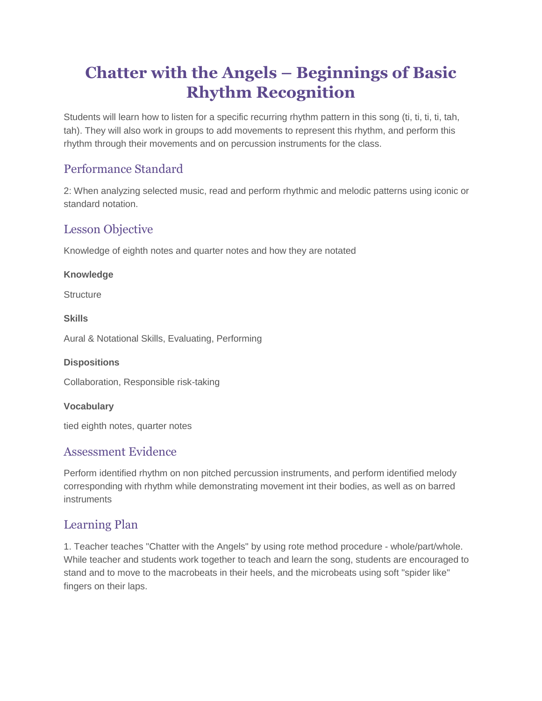# **Chatter with the Angels – Beginnings of Basic Rhythm Recognition**

Students will learn how to listen for a specific recurring rhythm pattern in this song (ti, ti, ti, ti, tah, tah). They will also work in groups to add movements to represent this rhythm, and perform this rhythm through their movements and on percussion instruments for the class.

# Performance Standard

2: When analyzing selected music, read and perform rhythmic and melodic patterns using iconic or standard notation.

# Lesson Objective

Knowledge of eighth notes and quarter notes and how they are notated

#### **Knowledge**

**Structure** 

#### **Skills**

Aural & Notational Skills, Evaluating, Performing

#### **Dispositions**

Collaboration, Responsible risk-taking

#### **Vocabulary**

tied eighth notes, quarter notes

### Assessment Evidence

Perform identified rhythm on non pitched percussion instruments, and perform identified melody corresponding with rhythm while demonstrating movement int their bodies, as well as on barred instruments

# Learning Plan

1. Teacher teaches "Chatter with the Angels" by using rote method procedure - whole/part/whole. While teacher and students work together to teach and learn the song, students are encouraged to stand and to move to the macrobeats in their heels, and the microbeats using soft "spider like" fingers on their laps.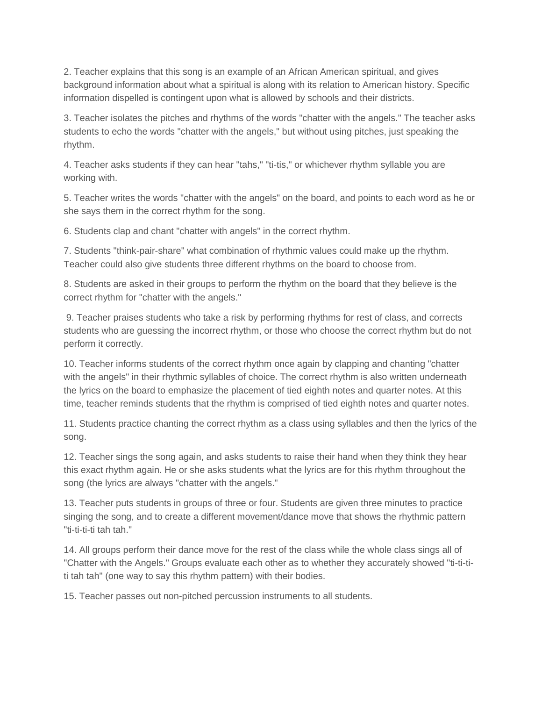2. Teacher explains that this song is an example of an African American spiritual, and gives background information about what a spiritual is along with its relation to American history. Specific information dispelled is contingent upon what is allowed by schools and their districts.

3. Teacher isolates the pitches and rhythms of the words "chatter with the angels." The teacher asks students to echo the words "chatter with the angels," but without using pitches, just speaking the rhythm.

4. Teacher asks students if they can hear "tahs," "ti-tis," or whichever rhythm syllable you are working with.

5. Teacher writes the words "chatter with the angels" on the board, and points to each word as he or she says them in the correct rhythm for the song.

6. Students clap and chant "chatter with angels" in the correct rhythm.

7. Students "think-pair-share" what combination of rhythmic values could make up the rhythm. Teacher could also give students three different rhythms on the board to choose from.

8. Students are asked in their groups to perform the rhythm on the board that they believe is the correct rhythm for "chatter with the angels."

9. Teacher praises students who take a risk by performing rhythms for rest of class, and corrects students who are guessing the incorrect rhythm, or those who choose the correct rhythm but do not perform it correctly.

10. Teacher informs students of the correct rhythm once again by clapping and chanting "chatter with the angels" in their rhythmic syllables of choice. The correct rhythm is also written underneath the lyrics on the board to emphasize the placement of tied eighth notes and quarter notes. At this time, teacher reminds students that the rhythm is comprised of tied eighth notes and quarter notes.

11. Students practice chanting the correct rhythm as a class using syllables and then the lyrics of the song.

12. Teacher sings the song again, and asks students to raise their hand when they think they hear this exact rhythm again. He or she asks students what the lyrics are for this rhythm throughout the song (the lyrics are always "chatter with the angels."

13. Teacher puts students in groups of three or four. Students are given three minutes to practice singing the song, and to create a different movement/dance move that shows the rhythmic pattern "ti-ti-ti-ti tah tah."

14. All groups perform their dance move for the rest of the class while the whole class sings all of "Chatter with the Angels." Groups evaluate each other as to whether they accurately showed "ti-ti-titi tah tah" (one way to say this rhythm pattern) with their bodies.

15. Teacher passes out non-pitched percussion instruments to all students.